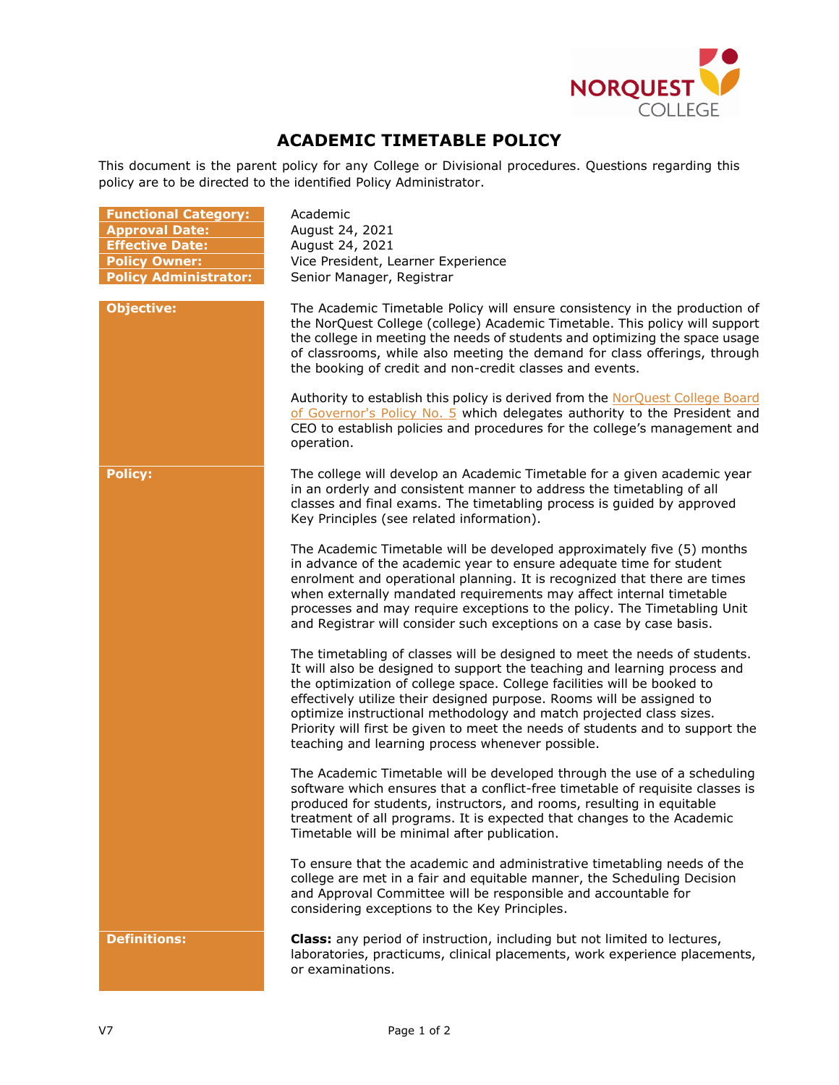

## **ACADEMIC TIMETABLE POLICY**

This document is the parent policy for any College or Divisional procedures. Questions regarding this policy are to be directed to the identified Policy Administrator.